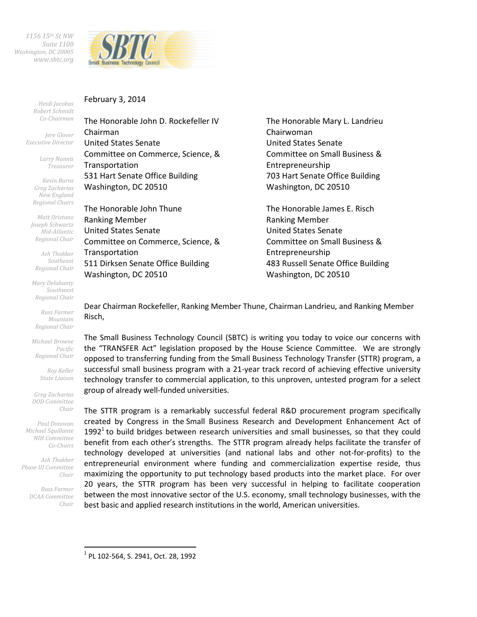*1156 15th St NW Suite 1100 Washington, DC 20005 www.sbtc.org* 



February 3, 2014

*Heidi Jacobus Robert Schmidt Co-Chairmen* 

*Jere Glover Executive Director* 

> *Larry Nannis Treasurer*

*Kevin Burns Greg Zacharias New England Regional Chairs* 

*Matt Oristano Joseph Schwartz Mid-Atlantic Regional Chair* 

*Ash Thakker Southeast Regional Chair* 

*Mary Delahunty Southwest Regional Chair* 

*Russ Farmer Mountain Regional Chair* 

*Michael Browne Pacific Regional Chair* 

> *Roy Keller State Liaison*

*Greg Zacharias DOD Committee Chair* 

*Paul Donovan Michael Squillante NIH Committee Co-Chairs* 

*Ash Thakker Phase III Committee Chair* 

> *Russ Farmer DCAA Committee Chair*

> > $\overline{a}$

The Honorable John D. Rockefeller IV Chairman United States Senate Committee on Commerce, Science, & Transportation 531 Hart Senate Office Building Washington, DC 20510

The Honorable John Thune Ranking Member United States Senate Committee on Commerce, Science, & Transportation 511 Dirksen Senate Office Building Washington, DC 20510

The Honorable Mary L. Landrieu Chairwoman United States Senate Committee on Small Business & Entrepreneurship 703 Hart Senate Office Building Washington, DC 20510

The Honorable James E. Risch Ranking Member United States Senate Committee on Small Business & Entrepreneurship 483 Russell Senate Office Building Washington, DC 20510

Dear Chairman Rockefeller, Ranking Member Thune, Chairman Landrieu, and Ranking Member Risch,

The Small Business Technology Council (SBTC) is writing you today to voice our concerns with the "TRANSFER Act" legislation proposed by the House Science Committee. We are strongly opposed to transferring funding from the Small Business Technology Transfer (STTR) program, a successful small business program with a 21-year track record of achieving effective university technology transfer to commercial application, to this unproven, untested program for a select group of already well-funded universities.

The STTR program is a remarkably successful federal R&D procurement program specifically created by Congress in the Small Business Research and Development Enhancement Act of 1992<sup>1</sup> to build bridges between research universities and small businesses, so that they could benefit from each other's strengths. The STTR program already helps facilitate the transfer of technology developed at universities (and national labs and other not-for-profits) to the entrepreneurial environment where funding and commercialization expertise reside, thus maximizing the opportunity to put technology based products into the market place. For over 20 years, the STTR program has been very successful in helping to facilitate cooperation between the most innovative sector of the U.S. economy, small technology businesses, with the best basic and applied research institutions in the world, American universities.

1 PL 102-564, S. 2941, Oct. 28, 1992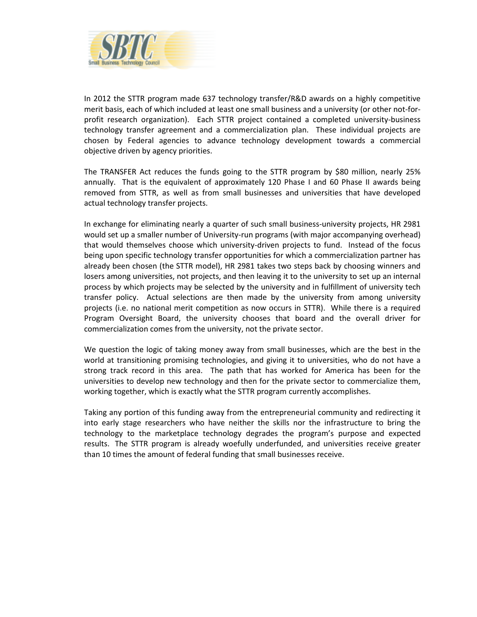

In 2012 the STTR program made 637 technology transfer/R&D awards on a highly competitive merit basis, each of which included at least one small business and a university (or other not-forprofit research organization). Each STTR project contained a completed university-business technology transfer agreement and a commercialization plan. These individual projects are chosen by Federal agencies to advance technology development towards a commercial objective driven by agency priorities.

The TRANSFER Act reduces the funds going to the STTR program by \$80 million, nearly 25% annually. That is the equivalent of approximately 120 Phase I and 60 Phase II awards being removed from STTR, as well as from small businesses and universities that have developed actual technology transfer projects.

In exchange for eliminating nearly a quarter of such small business-university projects, HR 2981 would set up a smaller number of University-run programs (with major accompanying overhead) that would themselves choose which university-driven projects to fund. Instead of the focus being upon specific technology transfer opportunities for which a commercialization partner has already been chosen (the STTR model), HR 2981 takes two steps back by choosing winners and losers among universities, not projects, and then leaving it to the university to set up an internal process by which projects may be selected by the university and in fulfillment of university tech transfer policy. Actual selections are then made by the university from among university projects (i.e. no national merit competition as now occurs in STTR). While there is a required Program Oversight Board, the university chooses that board and the overall driver for commercialization comes from the university, not the private sector.

We question the logic of taking money away from small businesses, which are the best in the world at transitioning promising technologies, and giving it to universities, who do not have a strong track record in this area. The path that has worked for America has been for the universities to develop new technology and then for the private sector to commercialize them, working together, which is exactly what the STTR program currently accomplishes.

Taking any portion of this funding away from the entrepreneurial community and redirecting it into early stage researchers who have neither the skills nor the infrastructure to bring the technology to the marketplace technology degrades the program's purpose and expected results. The STTR program is already woefully underfunded, and universities receive greater than 10 times the amount of federal funding that small businesses receive.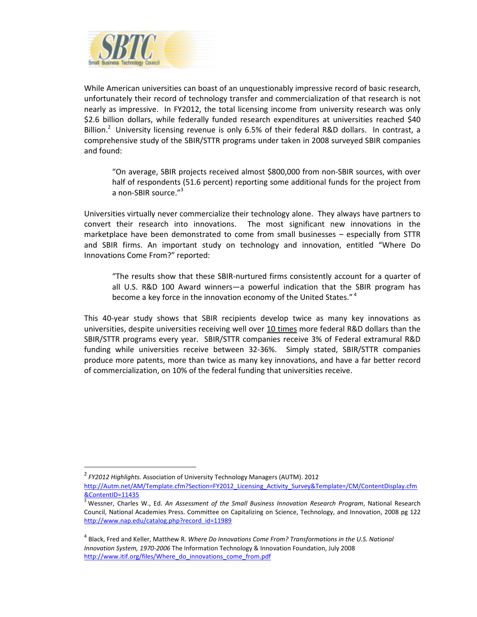

While American universities can boast of an unquestionably impressive record of basic research, unfortunately their record of technology transfer and commercialization of that research is not nearly as impressive. In FY2012, the total licensing income from university research was only \$2.6 billion dollars, while federally funded research expenditures at universities reached \$40 Billion.<sup>2</sup> University licensing revenue is only 6.5% of their federal R&D dollars. In contrast, a comprehensive study of the SBIR/STTR programs under taken in 2008 surveyed SBIR companies and found:

"On average, SBIR projects received almost \$800,000 from non-SBIR sources, with over half of respondents (51.6 percent) reporting some additional funds for the project from a non-SBIR source."<sup>3</sup>

Universities virtually never commercialize their technology alone. They always have partners to convert their research into innovations. The most significant new innovations in the marketplace have been demonstrated to come from small businesses – especially from STTR and SBIR firms. An important study on technology and innovation, entitled "Where Do Innovations Come From?" reported:

"The results show that these SBIR-nurtured firms consistently account for a quarter of all U.S. R&D 100 Award winners—a powerful indication that the SBIR program has become a key force in the innovation economy of the United States."<sup>4</sup>

This 40-year study shows that SBIR recipients develop twice as many key innovations as universities, despite universities receiving well over 10 times more federal R&D dollars than the SBIR/STTR programs every year. SBIR/STTR companies receive 3% of Federal extramural R&D funding while universities receive between 32-36%. Simply stated, SBIR/STTR companies produce more patents, more than twice as many key innovations, and have a far better record of commercialization, on 10% of the federal funding that universities receive.

 $\overline{a}$ 

<sup>2</sup> *FY2012 Highlights.* Association of University Technology Managers (AUTM). 2012

http://Autm.net/AM/Template.cfm?Section=FY2012\_Licensing\_Activity\_Survey&Template=/CM/ContentDisplay.cfm &ContentID=11435

<sup>3</sup> Wessner, Charles W., Ed. *An Assessment of the Small Business Innovation Research Program*, National Research Council, National Academies Press. Committee on Capitalizing on Science, Technology, and Innovation, 2008 pg 122 http://www.nap.edu/catalog.php?record\_id=11989

<sup>&</sup>lt;sup>4</sup> Black, Fred and Keller, Matthew R. *Where Do Innovations Come From? Transformations in the U.S. National Innovation System, 1970-2006* The Information Technology & Innovation Foundation, July 2008 http://www.itif.org/files/Where\_do\_innovations\_come\_from.pdf